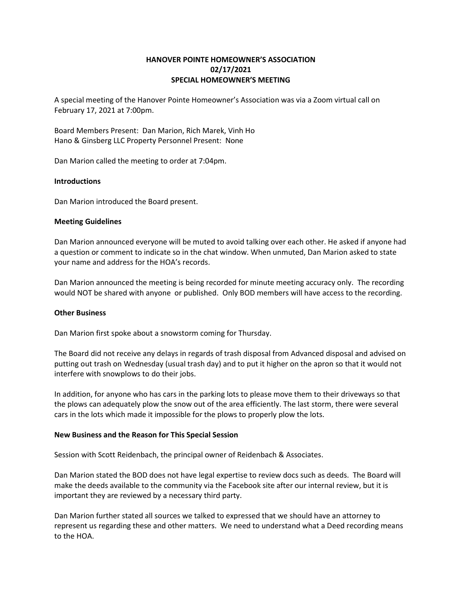# HANOVER POINTE HOMEOWNER'S ASSOCIATION 02/17/2021 SPECIAL HOMEOWNER'S MEETING

A special meeting of the Hanover Pointe Homeowner's Association was via a Zoom virtual call on February 17, 2021 at 7:00pm.

Board Members Present: Dan Marion, Rich Marek, Vinh Ho Hano & Ginsberg LLC Property Personnel Present: None

Dan Marion called the meeting to order at 7:04pm.

## Introductions

Dan Marion introduced the Board present.

## Meeting Guidelines

Dan Marion announced everyone will be muted to avoid talking over each other. He asked if anyone had a question or comment to indicate so in the chat window. When unmuted, Dan Marion asked to state your name and address for the HOA's records.

Dan Marion announced the meeting is being recorded for minute meeting accuracy only. The recording would NOT be shared with anyone or published. Only BOD members will have access to the recording.

#### Other Business

Dan Marion first spoke about a snowstorm coming for Thursday.

The Board did not receive any delays in regards of trash disposal from Advanced disposal and advised on putting out trash on Wednesday (usual trash day) and to put it higher on the apron so that it would not interfere with snowplows to do their jobs.

In addition, for anyone who has cars in the parking lots to please move them to their driveways so that the plows can adequately plow the snow out of the area efficiently. The last storm, there were several cars in the lots which made it impossible for the plows to properly plow the lots.

#### New Business and the Reason for This Special Session

Session with Scott Reidenbach, the principal owner of Reidenbach & Associates.

Dan Marion stated the BOD does not have legal expertise to review docs such as deeds. The Board will make the deeds available to the community via the Facebook site after our internal review, but it is important they are reviewed by a necessary third party.

Dan Marion further stated all sources we talked to expressed that we should have an attorney to represent us regarding these and other matters. We need to understand what a Deed recording means to the HOA.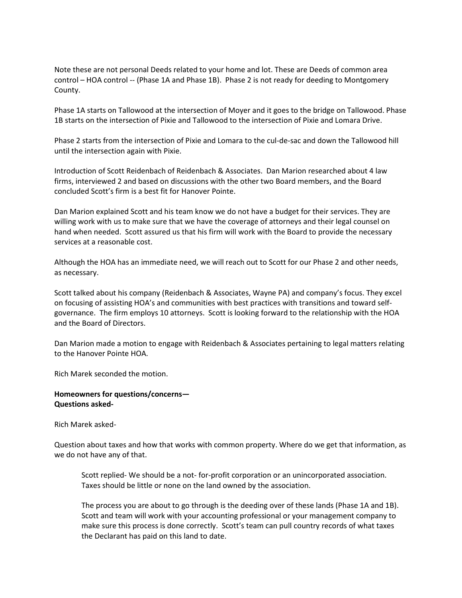Note these are not personal Deeds related to your home and lot. These are Deeds of common area control – HOA control -- (Phase 1A and Phase 1B). Phase 2 is not ready for deeding to Montgomery County.

Phase 1A starts on Tallowood at the intersection of Moyer and it goes to the bridge on Tallowood. Phase 1B starts on the intersection of Pixie and Tallowood to the intersection of Pixie and Lomara Drive.

Phase 2 starts from the intersection of Pixie and Lomara to the cul-de-sac and down the Tallowood hill until the intersection again with Pixie.

Introduction of Scott Reidenbach of Reidenbach & Associates. Dan Marion researched about 4 law firms, interviewed 2 and based on discussions with the other two Board members, and the Board concluded Scott's firm is a best fit for Hanover Pointe.

Dan Marion explained Scott and his team know we do not have a budget for their services. They are willing work with us to make sure that we have the coverage of attorneys and their legal counsel on hand when needed. Scott assured us that his firm will work with the Board to provide the necessary services at a reasonable cost.

Although the HOA has an immediate need, we will reach out to Scott for our Phase 2 and other needs, as necessary.

Scott talked about his company (Reidenbach & Associates, Wayne PA) and company's focus. They excel on focusing of assisting HOA's and communities with best practices with transitions and toward selfgovernance. The firm employs 10 attorneys. Scott is looking forward to the relationship with the HOA and the Board of Directors.

Dan Marion made a motion to engage with Reidenbach & Associates pertaining to legal matters relating to the Hanover Pointe HOA.

Rich Marek seconded the motion.

# Homeowners for questions/concerns— Questions asked-

Rich Marek asked-

Question about taxes and how that works with common property. Where do we get that information, as we do not have any of that.

Scott replied- We should be a not- for-profit corporation or an unincorporated association. Taxes should be little or none on the land owned by the association.

The process you are about to go through is the deeding over of these lands (Phase 1A and 1B). Scott and team will work with your accounting professional or your management company to make sure this process is done correctly. Scott's team can pull country records of what taxes the Declarant has paid on this land to date.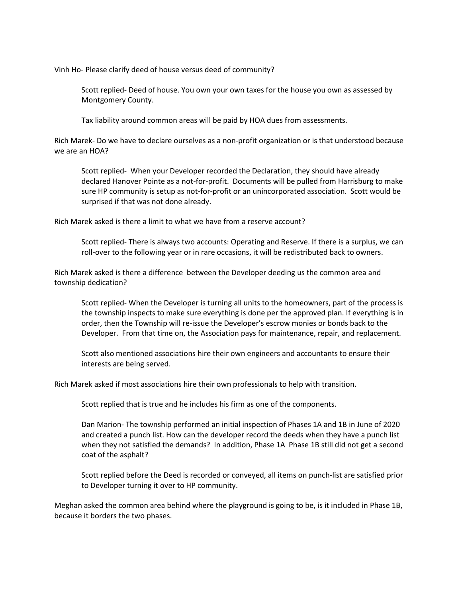Vinh Ho- Please clarify deed of house versus deed of community?

Scott replied- Deed of house. You own your own taxes for the house you own as assessed by Montgomery County.

Tax liability around common areas will be paid by HOA dues from assessments.

Rich Marek- Do we have to declare ourselves as a non-profit organization or is that understood because we are an HOA?

Scott replied- When your Developer recorded the Declaration, they should have already declared Hanover Pointe as a not-for-profit. Documents will be pulled from Harrisburg to make sure HP community is setup as not-for-profit or an unincorporated association. Scott would be surprised if that was not done already.

Rich Marek asked is there a limit to what we have from a reserve account?

Scott replied- There is always two accounts: Operating and Reserve. If there is a surplus, we can roll-over to the following year or in rare occasions, it will be redistributed back to owners.

Rich Marek asked is there a difference between the Developer deeding us the common area and township dedication?

Scott replied- When the Developer is turning all units to the homeowners, part of the process is the township inspects to make sure everything is done per the approved plan. If everything is in order, then the Township will re-issue the Developer's escrow monies or bonds back to the Developer. From that time on, the Association pays for maintenance, repair, and replacement.

Scott also mentioned associations hire their own engineers and accountants to ensure their interests are being served.

Rich Marek asked if most associations hire their own professionals to help with transition.

Scott replied that is true and he includes his firm as one of the components.

Dan Marion- The township performed an initial inspection of Phases 1A and 1B in June of 2020 and created a punch list. How can the developer record the deeds when they have a punch list when they not satisfied the demands? In addition, Phase 1A Phase 1B still did not get a second coat of the asphalt?

Scott replied before the Deed is recorded or conveyed, all items on punch-list are satisfied prior to Developer turning it over to HP community.

Meghan asked the common area behind where the playground is going to be, is it included in Phase 1B, because it borders the two phases.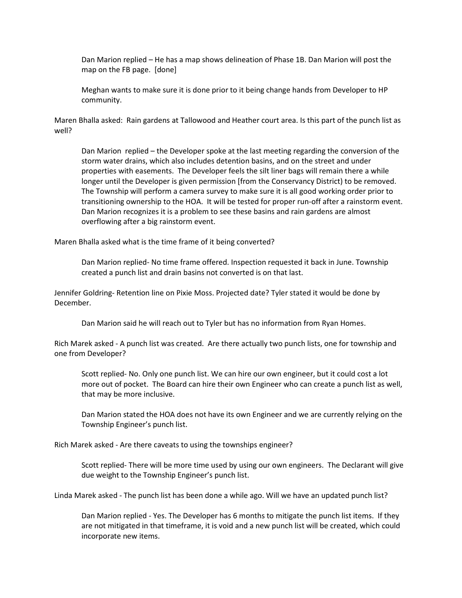Dan Marion replied – He has a map shows delineation of Phase 1B. Dan Marion will post the map on the FB page. [done]

Meghan wants to make sure it is done prior to it being change hands from Developer to HP community.

Maren Bhalla asked: Rain gardens at Tallowood and Heather court area. Is this part of the punch list as well?

Dan Marion replied – the Developer spoke at the last meeting regarding the conversion of the storm water drains, which also includes detention basins, and on the street and under properties with easements. The Developer feels the silt liner bags will remain there a while longer until the Developer is given permission [from the Conservancy District) to be removed. The Township will perform a camera survey to make sure it is all good working order prior to transitioning ownership to the HOA. It will be tested for proper run-off after a rainstorm event. Dan Marion recognizes it is a problem to see these basins and rain gardens are almost overflowing after a big rainstorm event.

Maren Bhalla asked what is the time frame of it being converted?

Dan Marion replied- No time frame offered. Inspection requested it back in June. Township created a punch list and drain basins not converted is on that last.

Jennifer Goldring- Retention line on Pixie Moss. Projected date? Tyler stated it would be done by December.

Dan Marion said he will reach out to Tyler but has no information from Ryan Homes.

Rich Marek asked - A punch list was created. Are there actually two punch lists, one for township and one from Developer?

Scott replied- No. Only one punch list. We can hire our own engineer, but it could cost a lot more out of pocket. The Board can hire their own Engineer who can create a punch list as well, that may be more inclusive.

Dan Marion stated the HOA does not have its own Engineer and we are currently relying on the Township Engineer's punch list.

Rich Marek asked - Are there caveats to using the townships engineer?

Scott replied- There will be more time used by using our own engineers. The Declarant will give due weight to the Township Engineer's punch list.

Linda Marek asked - The punch list has been done a while ago. Will we have an updated punch list?

Dan Marion replied - Yes. The Developer has 6 months to mitigate the punch list items. If they are not mitigated in that timeframe, it is void and a new punch list will be created, which could incorporate new items.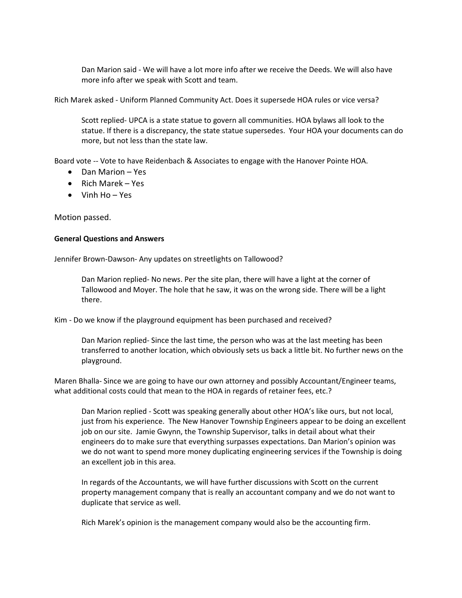Dan Marion said - We will have a lot more info after we receive the Deeds. We will also have more info after we speak with Scott and team.

Rich Marek asked - Uniform Planned Community Act. Does it supersede HOA rules or vice versa?

Scott replied- UPCA is a state statue to govern all communities. HOA bylaws all look to the statue. If there is a discrepancy, the state statue supersedes. Your HOA your documents can do more, but not less than the state law.

Board vote -- Vote to have Reidenbach & Associates to engage with the Hanover Pointe HOA.

- Dan Marion Yes
- $\bullet$  Rich Marek Yes
- $\bullet$  Vinh Ho Yes

Motion passed.

## General Questions and Answers

Jennifer Brown-Dawson- Any updates on streetlights on Tallowood?

Dan Marion replied- No news. Per the site plan, there will have a light at the corner of Tallowood and Moyer. The hole that he saw, it was on the wrong side. There will be a light there.

Kim - Do we know if the playground equipment has been purchased and received?

Dan Marion replied- Since the last time, the person who was at the last meeting has been transferred to another location, which obviously sets us back a little bit. No further news on the playground.

Maren Bhalla- Since we are going to have our own attorney and possibly Accountant/Engineer teams, what additional costs could that mean to the HOA in regards of retainer fees, etc.?

Dan Marion replied - Scott was speaking generally about other HOA's like ours, but not local, just from his experience. The New Hanover Township Engineers appear to be doing an excellent job on our site. Jamie Gwynn, the Township Supervisor, talks in detail about what their engineers do to make sure that everything surpasses expectations. Dan Marion's opinion was we do not want to spend more money duplicating engineering services if the Township is doing an excellent job in this area.

In regards of the Accountants, we will have further discussions with Scott on the current property management company that is really an accountant company and we do not want to duplicate that service as well.

Rich Marek's opinion is the management company would also be the accounting firm.